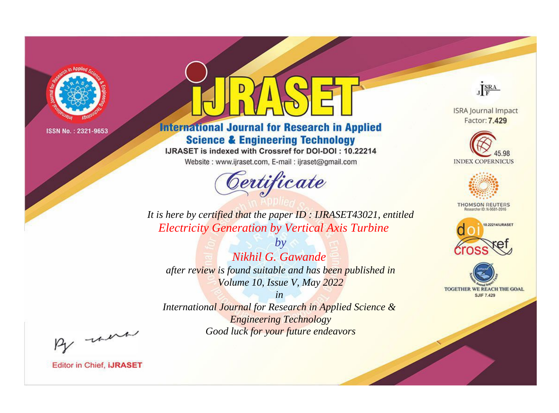

# **International Journal for Research in Applied Science & Engineering Technology**

IJRASET is indexed with Crossref for DOI-DOI: 10.22214

Website: www.ijraset.com, E-mail: ijraset@gmail.com



JERA

**ISRA Journal Impact** Factor: 7.429





**THOMSON REUTERS** 



TOGETHER WE REACH THE GOAL **SJIF 7.429** 

It is here by certified that the paper ID: IJRASET43021, entitled **Electricity Generation by Vertical Axis Turbine** 

Nikhil G. Gawande after review is found suitable and has been published in Volume 10, Issue V, May 2022

 $b\nu$ 

 $in$ International Journal for Research in Applied Science & **Engineering Technology** Good luck for your future endeavors

By morn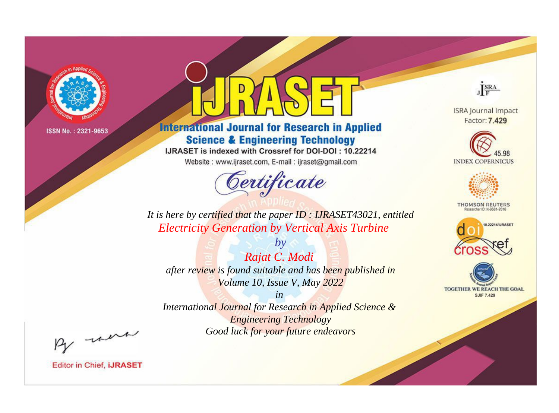

# **International Journal for Research in Applied Science & Engineering Technology**

IJRASET is indexed with Crossref for DOI-DOI: 10.22214

Website: www.ijraset.com, E-mail: ijraset@gmail.com



JERA

**ISRA Journal Impact** Factor: 7.429





**THOMSON REUTERS** 



TOGETHER WE REACH THE GOAL **SJIF 7.429** 

*It is here by certified that the paper ID : IJRASET43021, entitled Electricity Generation by Vertical Axis Turbine*

*by Rajat C. Modi after review is found suitable and has been published in Volume 10, Issue V, May 2022*

*in* 

*International Journal for Research in Applied Science & Engineering Technology Good luck for your future endeavors*

By morn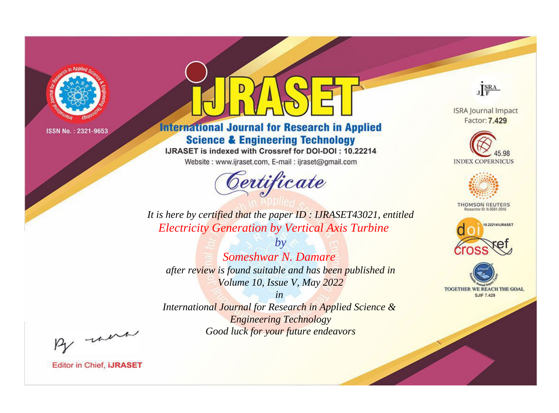

# **International Journal for Research in Applied Science & Engineering Technology**

IJRASET is indexed with Crossref for DOI-DOI: 10.22214

Website: www.ijraset.com, E-mail: ijraset@gmail.com



JERA

**ISRA Journal Impact** Factor: 7.429





**THOMSON REUTERS** 



TOGETHER WE REACH THE GOAL **SJIF 7.429** 

*It is here by certified that the paper ID : IJRASET43021, entitled Electricity Generation by Vertical Axis Turbine*

*Someshwar N. Damare after review is found suitable and has been published in Volume 10, Issue V, May 2022*

*by*

*in* 

*International Journal for Research in Applied Science & Engineering Technology Good luck for your future endeavors*

By morn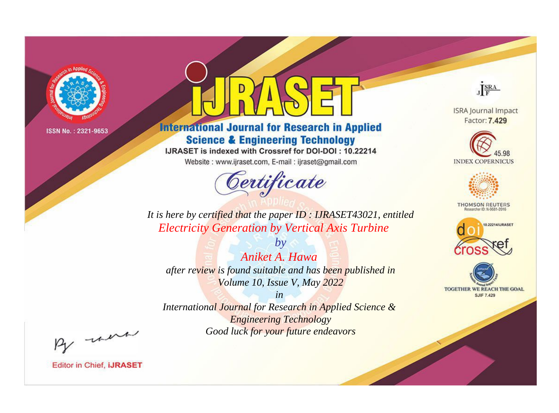

# **International Journal for Research in Applied Science & Engineering Technology**

IJRASET is indexed with Crossref for DOI-DOI: 10.22214

Website: www.ijraset.com, E-mail: ijraset@gmail.com



JERA

**ISRA Journal Impact** Factor: 7.429





**THOMSON REUTERS** 



TOGETHER WE REACH THE GOAL **SJIF 7.429** 

*It is here by certified that the paper ID : IJRASET43021, entitled Electricity Generation by Vertical Axis Turbine*

*by Aniket A. Hawa after review is found suitable and has been published in Volume 10, Issue V, May 2022*

*in* 

*International Journal for Research in Applied Science & Engineering Technology Good luck for your future endeavors*

By morn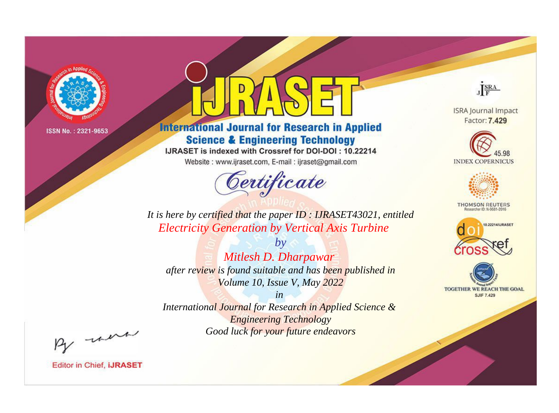

# **International Journal for Research in Applied Science & Engineering Technology**

IJRASET is indexed with Crossref for DOI-DOI: 10.22214

Website: www.ijraset.com, E-mail: ijraset@gmail.com



JERA

**ISRA Journal Impact** Factor: 7.429





**THOMSON REUTERS** 



TOGETHER WE REACH THE GOAL **SJIF 7.429** 

It is here by certified that the paper ID: IJRASET43021, entitled **Electricity Generation by Vertical Axis Turbine** 

 $by$ Mitlesh D. Dharpawar after review is found suitable and has been published in Volume 10, Issue V, May 2022

 $in$ International Journal for Research in Applied Science & **Engineering Technology** Good luck for your future endeavors

By morn